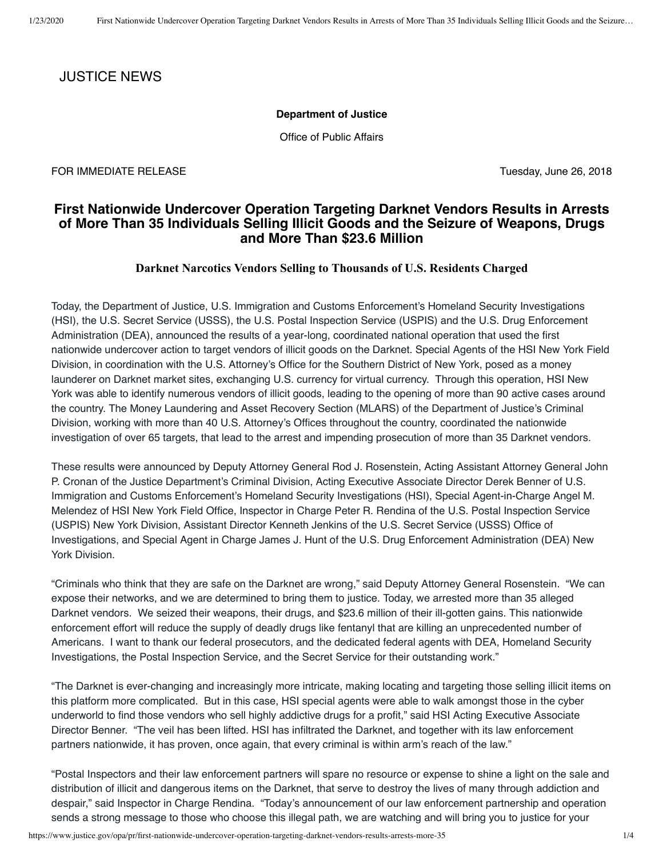# JUSTICE NEWS

#### **Department of Justice**

Office of Public Affairs

FOR IMMEDIATE RELEASE TUESDAY AND TUESDAY, June 26, 2018

# **First Nationwide Undercover Operation Targeting Darknet Vendors Results in Arrests of More Than 35 Individuals Selling Illicit Goods and the Seizure of Weapons, Drugs and More Than \$23.6 Million**

### **Darknet Narcotics Vendors Selling to Thousands of U.S. Residents Charged**

Today, the Department of Justice, U.S. Immigration and Customs Enforcement's Homeland Security Investigations (HSI), the U.S. Secret Service (USSS), the U.S. Postal Inspection Service (USPIS) and the U.S. Drug Enforcement Administration (DEA), announced the results of a year-long, coordinated national operation that used the first nationwide undercover action to target vendors of illicit goods on the Darknet. Special Agents of the HSI New York Field Division, in coordination with the U.S. Attorney's Office for the Southern District of New York, posed as a money launderer on Darknet market sites, exchanging U.S. currency for virtual currency. Through this operation, HSI New York was able to identify numerous vendors of illicit goods, leading to the opening of more than 90 active cases around the country. The Money Laundering and Asset Recovery Section (MLARS) of the Department of Justice's Criminal Division, working with more than 40 U.S. Attorney's Offices throughout the country, coordinated the nationwide investigation of over 65 targets, that lead to the arrest and impending prosecution of more than 35 Darknet vendors.

These results were announced by Deputy Attorney General Rod J. Rosenstein, Acting Assistant Attorney General John P. Cronan of the Justice Department's Criminal Division, Acting Executive Associate Director Derek Benner of U.S. Immigration and Customs Enforcement's Homeland Security Investigations (HSI), Special Agent-in-Charge Angel M. Melendez of HSI New York Field Office, Inspector in Charge Peter R. Rendina of the U.S. Postal Inspection Service (USPIS) New York Division, Assistant Director Kenneth Jenkins of the U.S. Secret Service (USSS) Office of Investigations, and Special Agent in Charge James J. Hunt of the U.S. Drug Enforcement Administration (DEA) New York Division.

"Criminals who think that they are safe on the Darknet are wrong," said Deputy Attorney General Rosenstein. "We can expose their networks, and we are determined to bring them to justice. Today, we arrested more than 35 alleged Darknet vendors. We seized their weapons, their drugs, and \$23.6 million of their ill-gotten gains. This nationwide enforcement effort will reduce the supply of deadly drugs like fentanyl that are killing an unprecedented number of Americans. I want to thank our federal prosecutors, and the dedicated federal agents with DEA, Homeland Security Investigations, the Postal Inspection Service, and the Secret Service for their outstanding work."

"The Darknet is ever-changing and increasingly more intricate, making locating and targeting those selling illicit items on this platform more complicated. But in this case, HSI special agents were able to walk amongst those in the cyber underworld to find those vendors who sell highly addictive drugs for a profit," said HSI Acting Executive Associate Director Benner. "The veil has been lifted. HSI has infiltrated the Darknet, and together with its law enforcement partners nationwide, it has proven, once again, that every criminal is within arm's reach of the law."

"Postal Inspectors and their law enforcement partners will spare no resource or expense to shine a light on the sale and distribution of illicit and dangerous items on the Darknet, that serve to destroy the lives of many through addiction and despair," said Inspector in Charge Rendina. "Today's announcement of our law enforcement partnership and operation sends a strong message to those who choose this illegal path, we are watching and will bring you to justice for your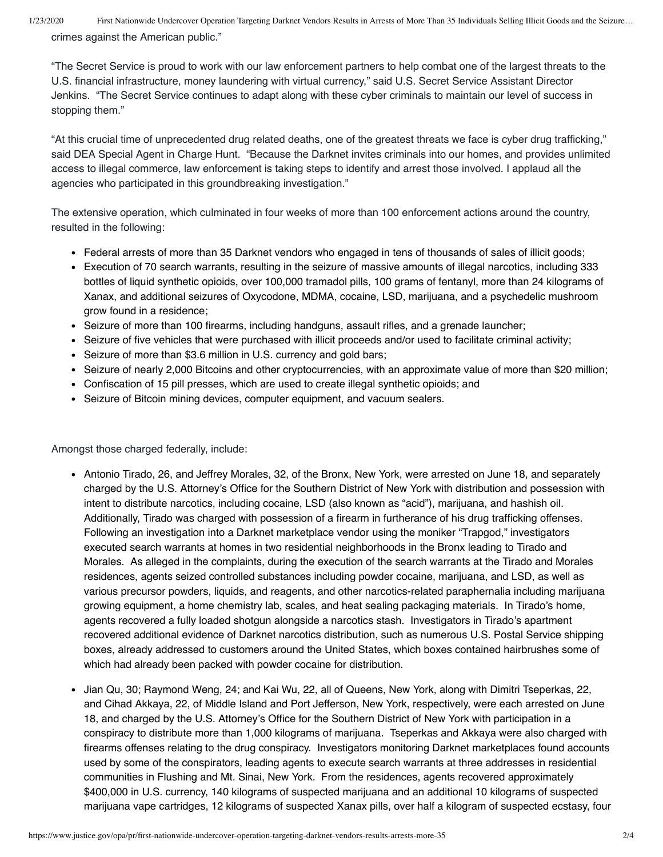1/23/2020 First Nationwide Undercover Operation Targeting Darknet Vendors Results in Arrests of More Than 35 Individuals Selling Illicit Goods and the Seizure… crimes against the American public."

"The Secret Service is proud to work with our law enforcement partners to help combat one of the largest threats to the U.S. financial infrastructure, money laundering with virtual currency," said U.S. Secret Service Assistant Director Jenkins. "The Secret Service continues to adapt along with these cyber criminals to maintain our level of success in stopping them."

"At this crucial time of unprecedented drug related deaths, one of the greatest threats we face is cyber drug trafficking," said DEA Special Agent in Charge Hunt. "Because the Darknet invites criminals into our homes, and provides unlimited access to illegal commerce, law enforcement is taking steps to identify and arrest those involved. I applaud all the agencies who participated in this groundbreaking investigation."

The extensive operation, which culminated in four weeks of more than 100 enforcement actions around the country, resulted in the following:

- Federal arrests of more than 35 Darknet vendors who engaged in tens of thousands of sales of illicit goods;
- Execution of 70 search warrants, resulting in the seizure of massive amounts of illegal narcotics, including 333 bottles of liquid synthetic opioids, over 100,000 tramadol pills, 100 grams of fentanyl, more than 24 kilograms of Xanax, and additional seizures of Oxycodone, MDMA, cocaine, LSD, marijuana, and a psychedelic mushroom grow found in a residence;
- Seizure of more than 100 firearms, including handguns, assault rifles, and a grenade launcher;
- Seizure of five vehicles that were purchased with illicit proceeds and/or used to facilitate criminal activity;
- Seizure of more than \$3.6 million in U.S. currency and gold bars;
- Seizure of nearly 2,000 Bitcoins and other cryptocurrencies, with an approximate value of more than \$20 million;
- Confiscation of 15 pill presses, which are used to create illegal synthetic opioids; and
- Seizure of Bitcoin mining devices, computer equipment, and vacuum sealers.

Amongst those charged federally, include:

- Antonio Tirado, 26, and Jeffrey Morales, 32, of the Bronx, New York, were arrested on June 18, and separately charged by the U.S. Attorney's Office for the Southern District of New York with distribution and possession with intent to distribute narcotics, including cocaine, LSD (also known as "acid"), marijuana, and hashish oil. Additionally, Tirado was charged with possession of a firearm in furtherance of his drug trafficking offenses. Following an investigation into a Darknet marketplace vendor using the moniker "Trapgod," investigators executed search warrants at homes in two residential neighborhoods in the Bronx leading to Tirado and Morales. As alleged in the complaints, during the execution of the search warrants at the Tirado and Morales residences, agents seized controlled substances including powder cocaine, marijuana, and LSD, as well as various precursor powders, liquids, and reagents, and other narcotics-related paraphernalia including marijuana growing equipment, a home chemistry lab, scales, and heat sealing packaging materials. In Tirado's home, agents recovered a fully loaded shotgun alongside a narcotics stash. Investigators in Tirado's apartment recovered additional evidence of Darknet narcotics distribution, such as numerous U.S. Postal Service shipping boxes, already addressed to customers around the United States, which boxes contained hairbrushes some of which had already been packed with powder cocaine for distribution.
- Jian Qu, 30; Raymond Weng, 24; and Kai Wu, 22, all of Queens, New York, along with Dimitri Tseperkas, 22, and Cihad Akkaya, 22, of Middle Island and Port Jefferson, New York, respectively, were each arrested on June 18, and charged by the U.S. Attorney's Office for the Southern District of New York with participation in a conspiracy to distribute more than 1,000 kilograms of marijuana. Tseperkas and Akkaya were also charged with firearms offenses relating to the drug conspiracy. Investigators monitoring Darknet marketplaces found accounts used by some of the conspirators, leading agents to execute search warrants at three addresses in residential communities in Flushing and Mt. Sinai, New York. From the residences, agents recovered approximately \$400,000 in U.S. currency, 140 kilograms of suspected marijuana and an additional 10 kilograms of suspected marijuana vape cartridges, 12 kilograms of suspected Xanax pills, over half a kilogram of suspected ecstasy, four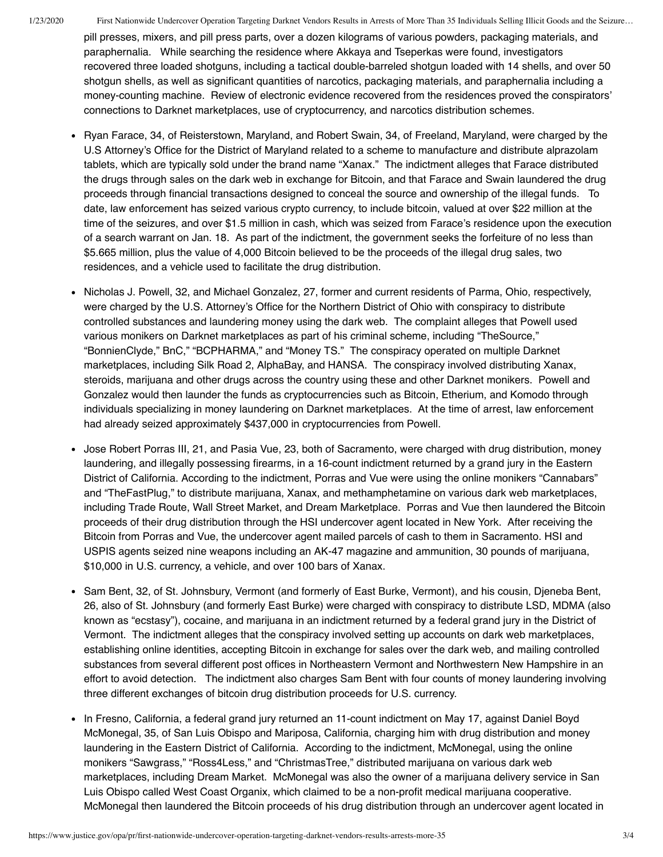1/23/2020 First Nationwide Undercover Operation Targeting Darknet Vendors Results in Arrests of More Than 35 Individuals Selling Illicit Goods and the Seizure…

pill presses, mixers, and pill press parts, over a dozen kilograms of various powders, packaging materials, and paraphernalia. While searching the residence where Akkaya and Tseperkas were found, investigators recovered three loaded shotguns, including a tactical double-barreled shotgun loaded with 14 shells, and over 50 shotgun shells, as well as significant quantities of narcotics, packaging materials, and paraphernalia including a money-counting machine. Review of electronic evidence recovered from the residences proved the conspirators' connections to Darknet marketplaces, use of cryptocurrency, and narcotics distribution schemes.

- Ryan Farace, 34, of Reisterstown, Maryland, and Robert Swain, 34, of Freeland, Maryland, were charged by the U.S Attorney's Office for the District of Maryland related to a scheme to manufacture and distribute alprazolam tablets, which are typically sold under the brand name "Xanax." The indictment alleges that Farace distributed the drugs through sales on the dark web in exchange for Bitcoin, and that Farace and Swain laundered the drug proceeds through financial transactions designed to conceal the source and ownership of the illegal funds. To date, law enforcement has seized various crypto currency, to include bitcoin, valued at over \$22 million at the time of the seizures, and over \$1.5 million in cash, which was seized from Farace's residence upon the execution of a search warrant on Jan. 18. As part of the indictment, the government seeks the forfeiture of no less than \$5.665 million, plus the value of 4,000 Bitcoin believed to be the proceeds of the illegal drug sales, two residences, and a vehicle used to facilitate the drug distribution.
- Nicholas J. Powell, 32, and Michael Gonzalez, 27, former and current residents of Parma, Ohio, respectively, were charged by the U.S. Attorney's Office for the Northern District of Ohio with conspiracy to distribute controlled substances and laundering money using the dark web. The complaint alleges that Powell used various monikers on Darknet marketplaces as part of his criminal scheme, including "TheSource," "BonnienClyde," BnC," "BCPHARMA," and "Money TS." The conspiracy operated on multiple Darknet marketplaces, including Silk Road 2, AlphaBay, and HANSA. The conspiracy involved distributing Xanax, steroids, marijuana and other drugs across the country using these and other Darknet monikers. Powell and Gonzalez would then launder the funds as cryptocurrencies such as Bitcoin, Etherium, and Komodo through individuals specializing in money laundering on Darknet marketplaces. At the time of arrest, law enforcement had already seized approximately \$437,000 in cryptocurrencies from Powell.
- Jose Robert Porras III, 21, and Pasia Vue, 23, both of Sacramento, were charged with drug distribution, money laundering, and illegally possessing firearms, in a 16-count indictment returned by a grand jury in the Eastern District of California. According to the indictment, Porras and Vue were using the online monikers "Cannabars" and "TheFastPlug," to distribute marijuana, Xanax, and methamphetamine on various dark web marketplaces, including Trade Route, Wall Street Market, and Dream Marketplace. Porras and Vue then laundered the Bitcoin proceeds of their drug distribution through the HSI undercover agent located in New York. After receiving the Bitcoin from Porras and Vue, the undercover agent mailed parcels of cash to them in Sacramento. HSI and USPIS agents seized nine weapons including an AK-47 magazine and ammunition, 30 pounds of marijuana, \$10,000 in U.S. currency, a vehicle, and over 100 bars of Xanax.
- Sam Bent, 32, of St. Johnsbury, Vermont (and formerly of East Burke, Vermont), and his cousin, Dieneba Bent, 26, also of St. Johnsbury (and formerly East Burke) were charged with conspiracy to distribute LSD, MDMA (also known as "ecstasy"), cocaine, and marijuana in an indictment returned by a federal grand jury in the District of Vermont. The indictment alleges that the conspiracy involved setting up accounts on dark web marketplaces, establishing online identities, accepting Bitcoin in exchange for sales over the dark web, and mailing controlled substances from several different post offices in Northeastern Vermont and Northwestern New Hampshire in an effort to avoid detection. The indictment also charges Sam Bent with four counts of money laundering involving three different exchanges of bitcoin drug distribution proceeds for U.S. currency.
- In Fresno, California, a federal grand jury returned an 11-count indictment on May 17, against Daniel Boyd McMonegal, 35, of San Luis Obispo and Mariposa, California, charging him with drug distribution and money laundering in the Eastern District of California. According to the indictment, McMonegal, using the online monikers "Sawgrass," "Ross4Less," and "ChristmasTree," distributed marijuana on various dark web marketplaces, including Dream Market. McMonegal was also the owner of a marijuana delivery service in San Luis Obispo called West Coast Organix, which claimed to be a non-profit medical marijuana cooperative. McMonegal then laundered the Bitcoin proceeds of his drug distribution through an undercover agent located in